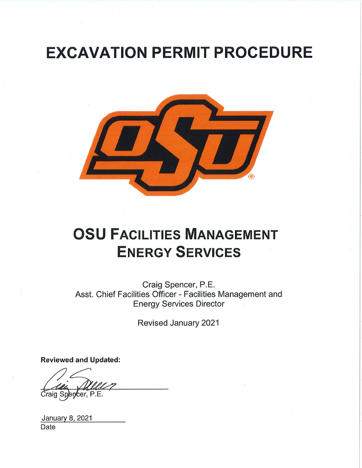# **EXCAVATION PERMIT PROCEDURE**



# **OSU FACILITIES MANAGEMENT ENERGY SERVICES**

Craig Spencer, P.E. Asst. Chief Facilities Officer - Facilities Management and **Energy Services Director** 

**Revised January 2021** 

**Reviewed and Updated:** 

Craig Sp

**January 8, 2021** Date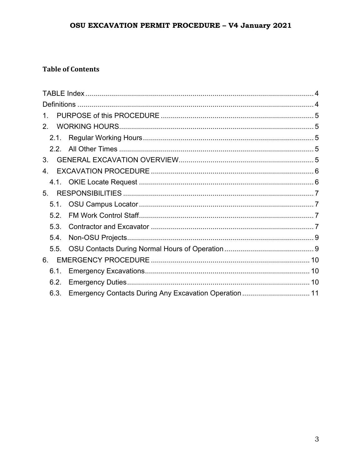# **Table of Contents**

| 1.             |  |
|----------------|--|
| 2 <sub>1</sub> |  |
| 2.1.           |  |
| 22             |  |
| 3.             |  |
| 4              |  |
| 4.1.           |  |
| 5.             |  |
| 51             |  |
| 5.2.           |  |
| 5.3.           |  |
| 5.4.           |  |
| 5.5.           |  |
| 6.             |  |
| 6.1.           |  |
| 6.2.           |  |
| 6.3.           |  |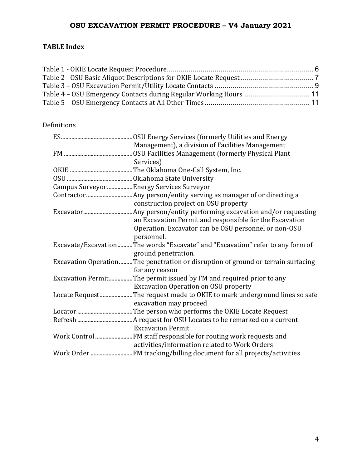# <span id="page-3-0"></span>**TABLE Index**

# <span id="page-3-1"></span>Definitions

|                                           | Management), a division of Facilities Management                                                                                                                             |
|-------------------------------------------|------------------------------------------------------------------------------------------------------------------------------------------------------------------------------|
|                                           |                                                                                                                                                                              |
|                                           | Services)                                                                                                                                                                    |
|                                           |                                                                                                                                                                              |
|                                           |                                                                                                                                                                              |
| Campus Surveyor  Energy Services Surveyor |                                                                                                                                                                              |
|                                           |                                                                                                                                                                              |
|                                           | construction project on OSU property                                                                                                                                         |
| Excavator                                 | Any person/entity performing excavation and/or requesting<br>an Excavation Permit and responsible for the Excavation<br>Operation. Excavator can be OSU personnel or non-OSU |
|                                           | personnel.                                                                                                                                                                   |
|                                           | Excavate/ExcavationThe words "Excavate" and "Excavation" refer to any form of<br>ground penetration.                                                                         |
|                                           | Excavation OperationThe penetration or disruption of ground or terrain surfacing<br>for any reason                                                                           |
|                                           | Excavation PermitThe permit issued by FM and required prior to any<br><b>Excavation Operation on OSU property</b>                                                            |
|                                           | Locate RequestThe request made to OKIE to mark underground lines so safe<br>excavation may proceed                                                                           |
|                                           |                                                                                                                                                                              |
|                                           |                                                                                                                                                                              |
|                                           | <b>Excavation Permit</b>                                                                                                                                                     |
|                                           | activities/information related to Work Orders                                                                                                                                |
|                                           |                                                                                                                                                                              |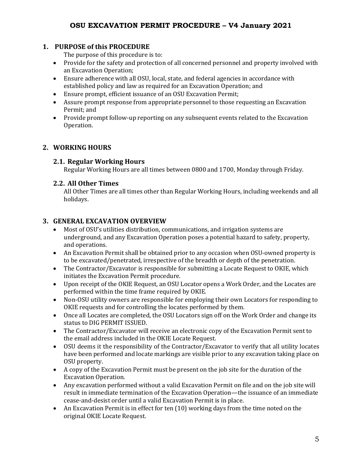#### <span id="page-4-0"></span>**1. PURPOSE of this PROCEDURE**

The purpose of this procedure is to:

- Provide for the safety and protection of all concerned personnel and property involved with an Excavation Operation;
- Ensure adherence with all OSU, local, state, and federal agencies in accordance with established policy and law as required for an Excavation Operation; and
- Ensure prompt, efficient issuance of an OSU Excavation Permit;
- Assure prompt response from appropriate personnel to those requesting an Excavation Permit; and
- Provide prompt follow-up reporting on any subsequent events related to the Excavation Operation.

## <span id="page-4-1"></span>**2. WORKING HOURS**

## <span id="page-4-2"></span>**2.1. Regular Working Hours**

Regular Working Hours are all times between 0800 and 1700, Monday through Friday.

#### **2.2. All Other Times**

<span id="page-4-3"></span>All Other Times are all times other than Regular Working Hours, including weekends and all holidays.

# <span id="page-4-4"></span>**3. GENERAL EXCAVATION OVERVIEW**

- Most of OSU's utilities distribution, communications, and irrigation systems are underground, and any Excavation Operation poses a potential hazard to safety, property, and operations.
- An Excavation Permit shall be obtained prior to any occasion when OSU-owned property is to be excavated/penetrated, irrespective of the breadth or depth of the penetration.
- The Contractor/Excavator is responsible for submitting a Locate Request to OKIE, which initiates the Excavation Permit procedure.
- Upon receipt of the OKIE Request, an OSU Locator opens a Work Order, and the Locates are performed within the time frame required by OKIE.
- Non-OSU utility owners are responsible for employing their own Locators for responding to OKIE requests and for controlling the locates performed by them.
- Once all Locates are completed, the OSU Locators sign off on the Work Order and change its status to DIG PERMIT ISSUED.
- The Contractor/Excavator will receive an electronic copy of the Excavation Permit sent to the email address included in the OKIE Locate Request.
- OSU deems it the responsibility of the Contractor/Excavator to verify that all utility locates have been performed and locate markings are visible prior to any excavation taking place on OSU property.
- A copy of the Excavation Permit must be present on the job site for the duration of the Excavation Operation.
- Any excavation performed without a valid Excavation Permit on file and on the job site will result in immediate termination of the Excavation Operation—the issuance of an immediate cease-and-desist order until a valid Excavation Permit is in place.
- An Excavation Permit is in effect for ten (10) working days from the time noted on the original OKIE Locate Request.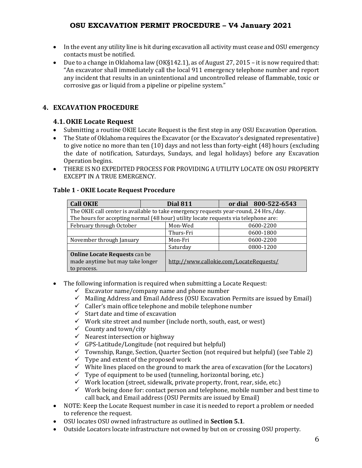- In the event any utility line is hit during excavation all activity must cease and OSU emergency contacts must be notified.
- Due to a change in Oklahoma law (OK§142.1), as of August 27, 2015 it is now required that: "An excavator shall immediately call the local 911 emergency telephone number and report any incident that results in an unintentional and uncontrolled release of flammable, toxic or corrosive gas or liquid from a pipeline or pipeline system."

# <span id="page-5-1"></span><span id="page-5-0"></span>**4. EXCAVATION PROCEDURE**

# **4.1.OKIE Locate Request**

- Submitting a routine OKIE Locate Request is the first step in any OSU Excavation Operation.
- The State of Oklahoma requires the Excavator (or the Excavator's designated representative) to give notice no more than ten (10) days and not less than forty-eight (48) hours (excluding the date of notification, Saturdays, Sundays, and legal holidays) before any Excavation Operation begins.
- THERE IS NO EXPEDITED PROCESS FOR PROVIDING A UTILITY LOCATE ON OSU PROPERTY EXCEPT IN A TRUE EMERGENCY.

#### <span id="page-5-2"></span>**Table 1 - OKIE Locate Request Procedure**

| <b>Call OKIE</b>                                                                      | <b>Dial 811</b> |                                         | or dial 800-522-6543 |  |
|---------------------------------------------------------------------------------------|-----------------|-----------------------------------------|----------------------|--|
| The OKIE call center is available to take emergency requests year-round, 24 Hrs./day. |                 |                                         |                      |  |
| The hours for accepting normal (48 hour) utility locate requests via telephone are:   |                 |                                         |                      |  |
| February through October                                                              | Mon-Wed         |                                         | 0600-2200            |  |
|                                                                                       | Thurs-Fri       |                                         | 0600-1800            |  |
| November through January                                                              | Mon-Fri         |                                         | 0600-2200            |  |
|                                                                                       | Saturday        |                                         | 0800-1200            |  |
| <b>Online Locate Requests can be</b>                                                  |                 |                                         |                      |  |
| made anytime but may take longer                                                      |                 | http://www.callokie.com/LocateRequests/ |                      |  |
| to process.                                                                           |                 |                                         |                      |  |

- The following information is required when submitting a Locate Request:
	- $\checkmark$  Excavator name/company name and phone number
	- $\checkmark$  Mailing Address and Email Address (OSU Excavation Permits are issued by Email)
	- $\checkmark$  Caller's main office telephone and mobile telephone number
	- $\checkmark$  Start date and time of excavation
	- $\checkmark$  Work site street and number (include north, south, east, or west)
	- $\checkmark$  County and town/city
	- $\checkmark$  Nearest intersection or highway
	- $\checkmark$  GPS-Latitude/Longitude (not required but helpful)
	- $\checkmark$  Township, Range, Section, Quarter Section (not required but helpful) (see Table 2)
	- $\checkmark$  Type and extent of the proposed work
	- $\checkmark$  White lines placed on the ground to mark the area of excavation (for the Locators)
	- $\checkmark$  Type of equipment to be used (tunneling, horizontal boring, etc.)
	- $\checkmark$  Work location (street, sidewalk, private property, front, rear, side, etc.)
	- $\checkmark$  Work being done for: contact person and telephone, mobile number and best time to call back, and Email address (OSU Permits are issued by Email)
- NOTE: Keep the Locate Request number in case it is needed to report a problem or needed to reference the request.
- OSU locates OSU owned infrastructure as outlined in **Section [5.1](#page-6-1)**.
- Outside Locators locate infrastructure not owned by but on or crossing OSU property.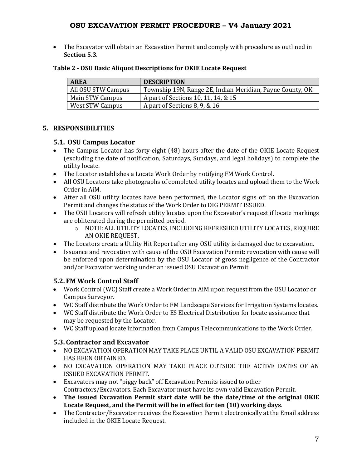• The Excavator will obtain an Excavation Permit and comply with procedure as outlined in **Section [5.3](#page-6-3)**.

| <b>AREA</b>        | <b>DESCRIPTION</b>                                        |
|--------------------|-----------------------------------------------------------|
| All OSU STW Campus | Township 19N, Range 2E, Indian Meridian, Payne County, OK |
| Main STW Campus    | A part of Sections 10, 11, 14, & 15                       |
| West STW Campus    | A part of Sections 8, 9, & 16                             |

#### <span id="page-6-4"></span>**Table 2 - OSU Basic Aliquot Descriptions for OKIE Locate Request**

#### <span id="page-6-0"></span>**5. RESPONSIBILITIES**

#### <span id="page-6-1"></span>**5.1. OSU Campus Locator**

- The Campus Locator has forty-eight (48) hours after the date of the OKIE Locate Request (excluding the date of notification, Saturdays, Sundays, and legal holidays) to complete the utility locate.
- The Locator establishes a Locate Work Order by notifying FM Work Control.
- All OSU Locators take photographs of completed utility locates and upload them to the Work Order in AiM.
- After all OSU utility locates have been performed, the Locator signs off on the Excavation Permit and changes the status of the Work Order to DIG PERMIT ISSUED.
- The OSU Locators will refresh utility locates upon the Excavator's request if locate markings are obliterated during the permitted period.
	- o NOTE: ALL UTILITY LOCATES, INCLUDING REFRESHED UTILITY LOCATES, REQUIRE AN OKIE REQUEST.
- The Locators create a Utility Hit Report after any OSU utility is damaged due to excavation.
- Issuance and revocation with cause of the OSU Excavation Permit: revocation with cause will be enforced upon determination by the OSU Locator of gross negligence of the Contractor and/or Excavator working under an issued OSU Excavation Permit.

## <span id="page-6-2"></span>**5.2. FM Work Control Staff**

- Work Control (WC) Staff create a Work Order in AiM upon request from the OSU Locator or Campus Surveyor.
- WC Staff distribute the Work Order to FM Landscape Services for Irrigation Systems locates.
- WC Staff distribute the Work Order to ES Electrical Distribution for locate assistance that may be requested by the Locator.
- WC Staff upload locate information from Campus Telecommunications to the Work Order.

## <span id="page-6-3"></span>**5.3. Contractor and Excavator**

- NO EXCAVATION OPERATION MAY TAKE PLACE UNTIL A VALID OSU EXCAVATION PERMIT HAS BEEN OBTAINED.
- NO EXCAVATION OPERATION MAY TAKE PLACE OUTSIDE THE ACTIVE DATES OF AN ISSUED EXCAVATION PERMIT.
- Excavators may not "piggy back" off Excavation Permits issued to other Contractors/Excavators. Each Excavator must have its own valid Excavation Permit.
- **The issued Excavation Permit start date will be the date/time of the original OKIE Locate Request, and the Permit will be in effect for ten (10) working days**.
- The Contractor/Excavator receives the Excavation Permit electronically at the Email address included in the OKIE Locate Request.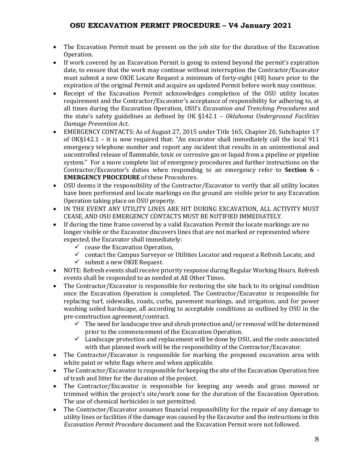- The Excavation Permit must be present on the job site for the duration of the Excavation Operation.
- If work covered by an Excavation Permit is going to extend beyond the permit's expiration date, to ensure that the work may continue without interruption the Contractor/Excavator must submit a new OKIE Locate Request a minimum of forty-eight (48) hours prior to the expiration of the original Permit and acquire an updated Permit before work may continue.
- Receipt of the Excavation Permit acknowledges completion of the OSU utility locates requirement and the Contractor/Excavator's acceptance of responsibility for adhering to, at all times during the Excavation Operation, OSU's *Excavation and Trenching Procedures* and the state's safety guidelines as defined by OK §142.1 – *Oklahoma Underground Facilities Damage Prevention Act*.
- EMERGENCY CONTACTS: As of August 27, 2015 under Title 165, Chapter 20, Subchapter 17 of OK§142.1 – it is now required that: "An excavator shall immediately call the local 911 emergency telephone number and report any incident that results in an unintentional and uncontrolled release of flammable, toxic or corrosive gas or liquid from a pipeline or pipeline system." For a more complete list of emergency procedures and further instructions on the Contractor/Excavator's duties when responding to an emergency refer to **Section [6](#page-9-0) - EMERGENCY PROCEDURE** of these Procedures.
- OSU deems it the responsibility of the Contractor/Excavator to verify that all utility locates have been performed and locate markings on the ground are visible prior to any Excavation Operation taking place on OSU property.
- IN THE EVENT ANY UTILITY LINES ARE HIT DURING EXCAVATION, ALL ACTIVITY MUST CEASE, AND OSU EMERGENCY CONTACTS MUST BE NOTIFIED IMMEDIATELY.
- If during the time frame covered by a valid Excavation Permit the locate markings are no longer visible or the Excavator discovers lines that are not marked or represented where expected, the Excavator shall immediately:
	- $\checkmark$  cease the Excavation Operation,
	- $\checkmark$  contact the Campus Surveyor or Utilities Locator and request a Refresh Locate, and
	- $\checkmark$  submit a new OKIE Request.
- NOTE: Refresh events shall receive priority response during Regular Working Hours. Refresh events shall be responded to as needed at All Other Times.
- The Contractor/Excavator is responsible for restoring the site back to its original condition once the Excavation Operation is completed. The Contractor/Excavator is responsible for replacing turf, sidewalks, roads, curbs, pavement markings, and irrigation, and for power washing soiled hardscape, all according to acceptable conditions as outlined by OSU in the pre-construction agreement/contract.<br> $\checkmark$  The need for landscape tree and
	- The need for landscape tree and shrub protection and/or removal will be determined prior to the commencement of the Excavation Operation.
	- $\checkmark$  Landscape protection and replacement will be done by OSU, and the costs associated with that planned work will be the responsibility of the Contractor/Excavator.
- The Contractor/Excavator is responsible for marking the proposed excavation area with white paint or white flags where and when applicable.
- The Contractor/Excavator is responsible for keeping the site of the Excavation Operation free of trash and litter for the duration of the project.
- The Contractor/Excavator is responsible for keeping any weeds and grass mowed or trimmed within the project's site/work zone for the duration of the Excavation Operation. The use of chemical herbicides is not permitted.
- The Contractor/Excavator assumes financial responsibility for the repair of any damage to utility lines or facilities if the damage was caused by the Excavator and the instructions in this *Excavation Permit Procedure* document and the Excavation Permit were not followed.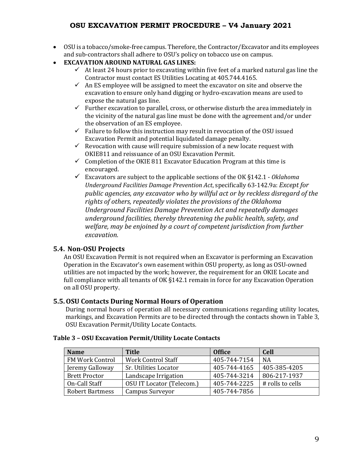- OSU is a tobacco/smoke-free campus. Therefore, the Contractor/Excavator and its employees and sub-contractors shall adhere to OSU's policy on tobacco use on campus.
- **EXCAVATION AROUND NATURAL GAS LINES:**
	- $\checkmark$  At least 24 hours prior to excavating within five feet of a marked natural gas line the Contractor must contact ES Utilities Locating at 405.744.4165.
	- $\checkmark$  An ES employee will be assigned to meet the excavator on site and observe the excavation to ensure only hand digging or hydro-excavation means are used to expose the natural gas line.
	- $\checkmark$  Further excavation to parallel, cross, or otherwise disturb the area immediately in the vicinity of the natural gas line must be done with the agreement and/or under the observation of an ES employee.
	- $\checkmark$  Failure to follow this instruction may result in revocation of the OSU issued Excavation Permit and potential liquidated damage penalty.
	- $\checkmark$  Revocation with cause will require submission of a new locate request with OKIE811 and reissuance of an OSU Excavation Permit.
	- $\checkmark$  Completion of the OKIE 811 Excavator Education Program at this time is encouraged.
	- Excavators are subject to the applicable sections of the OK §142.1 *Oklahoma Underground Facilities Damage Prevention Act*, specifically 63-142.9a: *Except for public agencies, any excavator who by willful act or by reckless disregard of the rights of others, repeatedly violates the provisions of the Oklahoma Underground Facilities Damage Prevention Act and repeatedly damages underground facilities, thereby threatening the public health, safety, and welfare, may be enjoined by a court of competent jurisdiction from further excavation.*

## **5.4. Non-OSU Projects**

<span id="page-8-0"></span>An OSU Excavation Permit is not required when an Excavator is performing an Excavation Operation in the Excavator's own easement within OSU property, as long as OSU-owned utilities are not impacted by the work; however, the requirement for an OKIE Locate and full compliance with all tenants of OK §142.1 remain in force for any Excavation Operation on all OSU property.

## <span id="page-8-1"></span>**5.5.OSU Contacts During Normal Hours of Operation**

During normal hours of operation all necessary communications regarding utility locates, markings, and Excavation Permits are to be directed through the contacts shown in Table 3, OSU Excavation Permit/Utility Locate Contacts.

| <b>Name</b>            | Title                            | <b>Office</b> | <b>Cell</b>      |
|------------------------|----------------------------------|---------------|------------------|
| <b>FM Work Control</b> | <b>Work Control Staff</b>        | 405-744-7154  | <b>NA</b>        |
| Jeremy Galloway        | Sr. Utilities Locator            | 405-744-4165  | 405-385-4205     |
| <b>Brett Proctor</b>   | Landscape Irrigation             | 405-744-3214  | 806-217-1937     |
| On-Call Staff          | <b>OSU IT Locator (Telecom.)</b> | 405-744-2225  | # rolls to cells |
| <b>Robert Bartmess</b> | <b>Campus Surveyor</b>           | 405-744-7856  |                  |

#### <span id="page-8-2"></span>**Table 3 – OSU Excavation Permit/Utility Locate Contacts**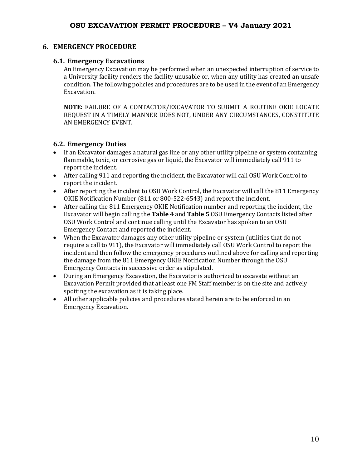#### <span id="page-9-0"></span>**6. EMERGENCY PROCEDURE**

#### <span id="page-9-1"></span>**6.1. Emergency Excavations**

An Emergency Excavation may be performed when an unexpected interruption of service to a University facility renders the facility unusable or, when any utility has created an unsafe condition. The following policies and procedures are to be used in the event of an Emergency Excavation.

**NOTE:** FAILURE OF A CONTACTOR/EXCAVATOR TO SUBMIT A ROUTINE OKIE LOCATE REQUEST IN A TIMELY MANNER DOES NOT, UNDER ANY CIRCUMSTANCES, CONSTITUTE AN EMERGENCY EVENT.

#### <span id="page-9-2"></span>**6.2. Emergency Duties**

- If an Excavator damages a natural gas line or any other utility pipeline or system containing flammable, toxic, or corrosive gas or liquid, the Excavator will immediately call 911 to report the incident.
- After calling 911 and reporting the incident, the Excavator will call OSU Work Control to report the incident.
- After reporting the incident to OSU Work Control, the Excavator will call the 811 Emergency OKIE Notification Number (811 or 800-522-6543) and report the incident.
- After calling the 811 Emergency OKIE Notification number and reporting the incident, the Excavator will begin calling the **Table 4** and **Table 5** OSU Emergency Contacts listed after OSU Work Control and continue calling until the Excavator has spoken to an OSU Emergency Contact and reported the incident.
- When the Excavator damages any other utility pipeline or system (utilities that do not require a call to 911), the Excavator will immediately call OSU Work Control to report the incident and then follow the emergency procedures outlined above for calling and reporting the damage from the 811 Emergency OKIE Notification Number through the OSU Emergency Contacts in successive order as stipulated.
- During an Emergency Excavation, the Excavator is authorized to excavate without an Excavation Permit provided that at least one FM Staff member is on the site and actively spotting the excavation as it is taking place.
- All other applicable policies and procedures stated herein are to be enforced in an Emergency Excavation.